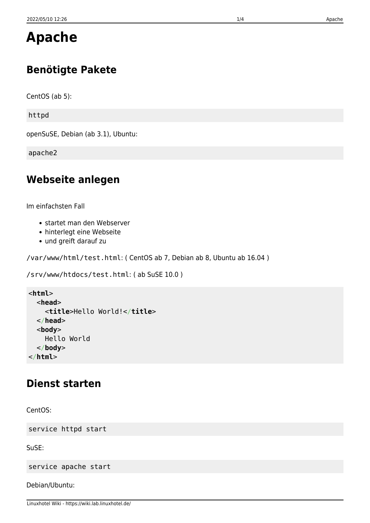# **Apache**

# **Benötigte Pakete**

CentOS (ab 5):

httpd

openSuSE, Debian (ab 3.1), Ubuntu:

apache2

## **Webseite anlegen**

Im einfachsten Fall

- startet man den Webserver
- hinterlegt eine Webseite
- und greift darauf zu

/var/www/html/test.html: ( CentOS ab 7, Debian ab 8, Ubuntu ab 16.04 )

```
/srv/www/htdocs/test.html: ( ab SuSE 10.0 )
```

```
<html>
   <head>
     <title>Hello World!</title>
   </head>
   <body>
     Hello World
   </body>
</html>
```
## **Dienst starten**

CentOS:

service httpd start

SuSE:

service apache start

Debian/Ubuntu: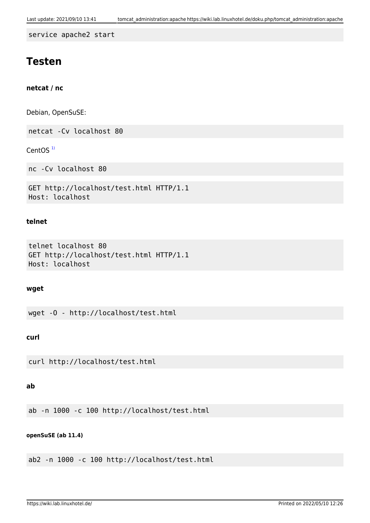service apache2 start

### **Testen**

**netcat / nc**

Debian, OpenSuSE:

netcat -Cv localhost 80

CentOS $<sup>1</sup>$ </sup>

nc -Cv localhost 80

```
GET http://localhost/test.html HTTP/1.1
Host: localhost
```
#### **telnet**

```
telnet localhost 80
GET http://localhost/test.html HTTP/1.1
Host: localhost
```
#### **wget**

wget -O - http://localhost/test.html

#### **curl**

curl http://localhost/test.html

#### **ab**

ab -n 1000 -c 100 http://localhost/test.html

#### **openSuSE (ab 11.4)**

ab2 -n 1000 -c 100 http://localhost/test.html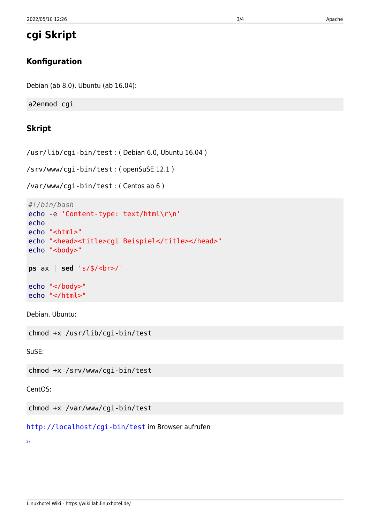**cgi Skript**

### **Konfiguration**

Debian (ab 8.0), Ubuntu (ab 16.04):

a2enmod cgi

### **Skript**

/usr/lib/cgi-bin/test : ( Debian 6.0, Ubuntu 16.04 )

/srv/www/cgi-bin/test : ( openSuSE 12.1 )

/var/www/cgi-bin/test : ( Centos ab 6 )

```
#!/bin/bash
echo -e 'Content-type: text/html\r\n'
echo
echo "<html>"
echo "<head><title>cgi Beispiel</title></head>"
echo "<br/>body>"
ps ax | sed 's/$/<br>/'
echo "</body>"
echo "</html>"
```
Debian, Ubuntu:

chmod +x /usr/lib/cgi-bin/test

SuSE:

chmod +x /srv/www/cgi-bin/test

CentOS:

chmod +x /var/www/cgi-bin/test

[http://localhost/cgi-bin/test](#page--1-0) im Browser aufrufen

[2\)](#page--1-0)